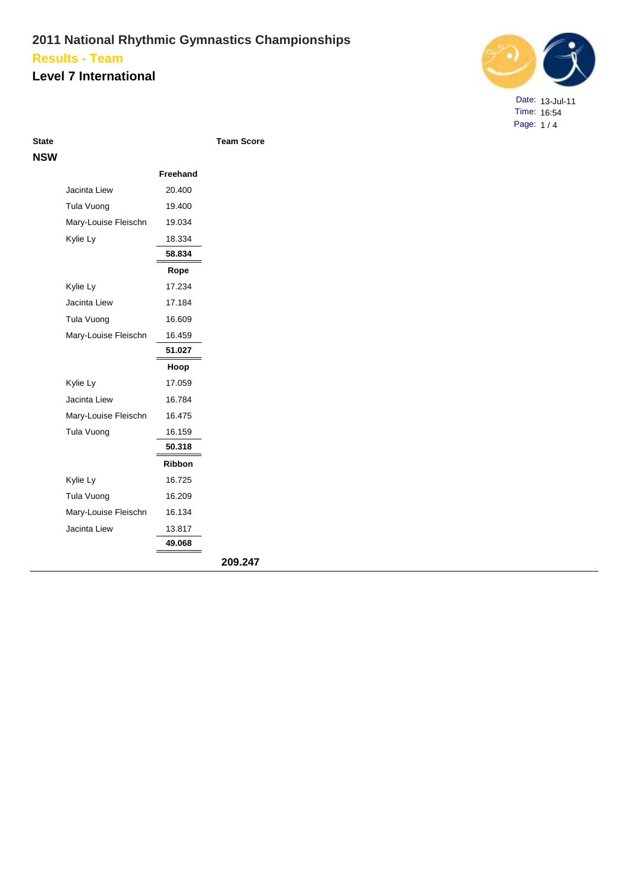#### **Level 7 International**



Date: 13-Jul-11 Time: 16:54 Page: 1 / 4

**Team Score** 

| <b>NSW</b> |                      |               |         |
|------------|----------------------|---------------|---------|
|            |                      | Freehand      |         |
|            | Jacinta Liew         | 20.400        |         |
|            | Tula Vuong           | 19.400        |         |
|            | Mary-Louise Fleischn | 19.034        |         |
|            | Kylie Ly             | 18.334        |         |
|            |                      | 58.834        |         |
|            |                      | Rope          |         |
|            | Kylie Ly             | 17.234        |         |
|            | Jacinta Liew         | 17.184        |         |
|            | Tula Vuong           | 16.609        |         |
|            | Mary-Louise Fleischn | 16.459        |         |
|            |                      | 51.027        |         |
|            |                      | Hoop          |         |
|            | Kylie Ly             | 17.059        |         |
|            | Jacinta Liew         | 16.784        |         |
|            | Mary-Louise Fleischn | 16.475        |         |
|            | Tula Vuong           | 16.159        |         |
|            |                      | 50.318        |         |
|            |                      | <b>Ribbon</b> |         |
|            | Kylie Ly             | 16.725        |         |
|            | Tula Vuong           | 16.209        |         |
|            | Mary-Louise Fleischn | 16.134        |         |
|            | Jacinta Liew         | 13.817        |         |
|            |                      | 49.068        |         |
|            |                      |               | 209.247 |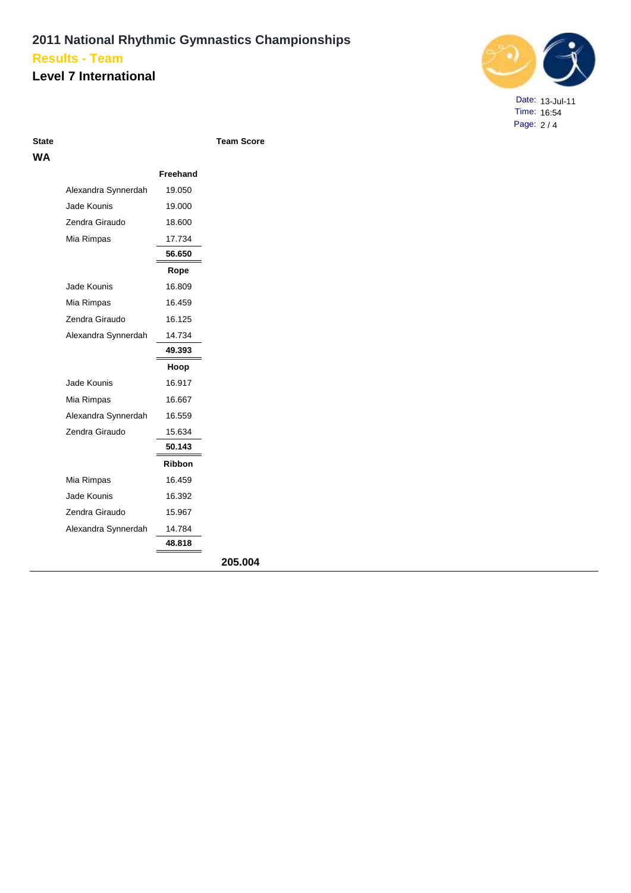#### **Level 7 International**



Date: 13-Jul-11 Time: 16:54 Page: 2 / 4

**State Team Score**

| WA |                     |               |         |
|----|---------------------|---------------|---------|
|    |                     | Freehand      |         |
|    | Alexandra Synnerdah | 19.050        |         |
|    | Jade Kounis         | 19.000        |         |
|    | Zendra Giraudo      | 18.600        |         |
|    | Mia Rimpas          | 17.734        |         |
|    |                     | 56.650        |         |
|    |                     | Rope          |         |
|    | Jade Kounis         | 16.809        |         |
|    | Mia Rimpas          | 16.459        |         |
|    | Zendra Giraudo      | 16.125        |         |
|    | Alexandra Synnerdah | 14.734        |         |
|    |                     | 49.393        |         |
|    |                     | Hoop          |         |
|    | Jade Kounis         | 16.917        |         |
|    | Mia Rimpas          | 16.667        |         |
|    | Alexandra Synnerdah | 16.559        |         |
|    | Zendra Giraudo      | 15.634        |         |
|    |                     | 50.143        |         |
|    |                     | <b>Ribbon</b> |         |
|    | Mia Rimpas          | 16.459        |         |
|    | Jade Kounis         | 16.392        |         |
|    | Zendra Giraudo      | 15.967        |         |
|    | Alexandra Synnerdah | 14.784        |         |
|    |                     | 48.818        |         |
|    |                     |               | 205.004 |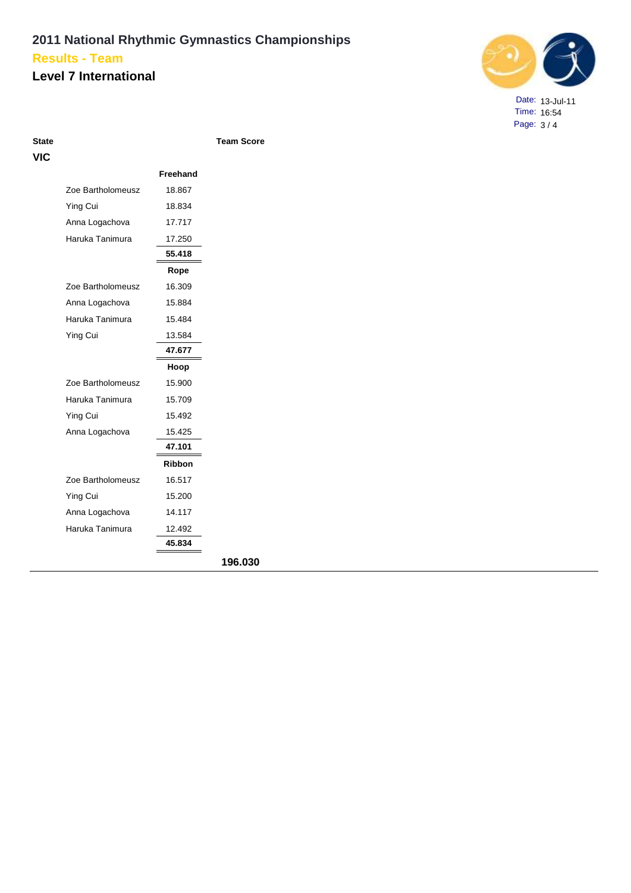### **Level 7 International**



Date: 13-Jul-11 Time: 16:54 Page: 3 / 4

| <b>State</b> |                   |                 | <b>Team Score</b> |
|--------------|-------------------|-----------------|-------------------|
| VIC          |                   |                 |                   |
|              |                   | <b>Freehand</b> |                   |
|              | Zoe Bartholomeusz | 18.867          |                   |
|              | Ying Cui          | 18.834          |                   |
|              | Anna Logachova    | 17.717          |                   |
|              | Haruka Tanimura   | 17.250          |                   |
|              |                   | 55.418          |                   |
|              |                   | Rope            |                   |
|              | Zoe Bartholomeusz | 16.309          |                   |
|              | Anna Logachova    | 15.884          |                   |
|              | Haruka Tanimura   | 15.484          |                   |
|              | Ying Cui          | 13.584          |                   |
|              |                   | 47.677          |                   |
|              |                   | Hoop            |                   |
|              | Zoe Bartholomeusz | 15.900          |                   |
|              | Haruka Tanimura   | 15.709          |                   |
|              | Ying Cui          | 15.492          |                   |
|              | Anna Logachova    | 15.425          |                   |
|              |                   | 47.101          |                   |
|              |                   | <b>Ribbon</b>   |                   |
|              | Zoe Bartholomeusz | 16.517          |                   |
|              | Ying Cui          | 15.200          |                   |
|              | Anna Logachova    | 14.117          |                   |
|              | Haruka Tanimura   | 12.492          |                   |
|              |                   | 45.834          |                   |
|              |                   |                 | 196.030           |